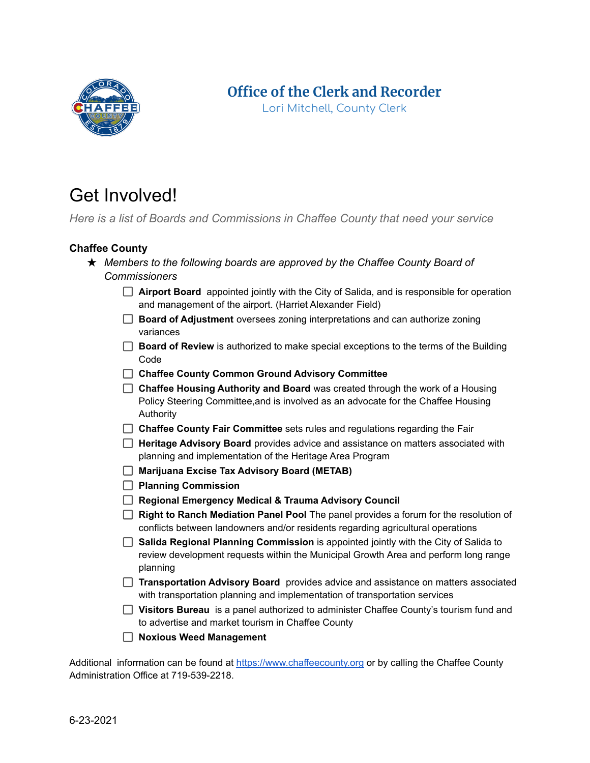

## **Office of the Clerk and Recorder**

Lori Mitchell, County Clerk

# Get Involved!

*Here is a list of Boards and Commissions in Chaffee County that need your service*

### **Chaffee County**

- ★ *Members to the following boards are approved by the Chaffee County Board of Commissioners*
	- **Airport Board** appointed jointly with the City of Salida, and is responsible for operation and management of the airport. (Harriet Alexander Field)
	- **Board of Adjustment** oversees zoning interpretations and can authorize zoning variances
	- **Board of Review** is authorized to make special exceptions to the terms of the Building Code
	- **Chaffee County Common Ground Advisory Committee**
	- **Chaffee Housing Authority and Board** was created through the work of a Housing Policy Steering Committee,and is involved as an advocate for the Chaffee Housing Authority
	- **Chaffee County Fair Committee** sets rules and regulations regarding the Fair
	- **Heritage Advisory Board** provides advice and assistance on matters associated with planning and implementation of the Heritage Area Program
	- **Marijuana Excise Tax Advisory Board (METAB)**
	- **Planning Commission**
	- **Regional Emergency Medical & Trauma Advisory Council**
	- **Right to Ranch Mediation Panel Pool** The panel provides a forum for the resolution of conflicts between landowners and/or residents regarding agricultural operations
	- **Salida Regional Planning Commission** is appointed jointly with the City of Salida to review development requests within the Municipal Growth Area and perform long range planning
	- **Transportation Advisory Board** provides advice and assistance on matters associated with transportation planning and implementation of transportation services
	- **Visitors Bureau** is a panel authorized to administer Chaffee County's tourism fund and to advertise and market tourism in Chaffee County
	- **Noxious Weed Management**

Additional information can be found at <https://www.chaffeecounty.org> or by calling the Chaffee County Administration Office at 719-539-2218.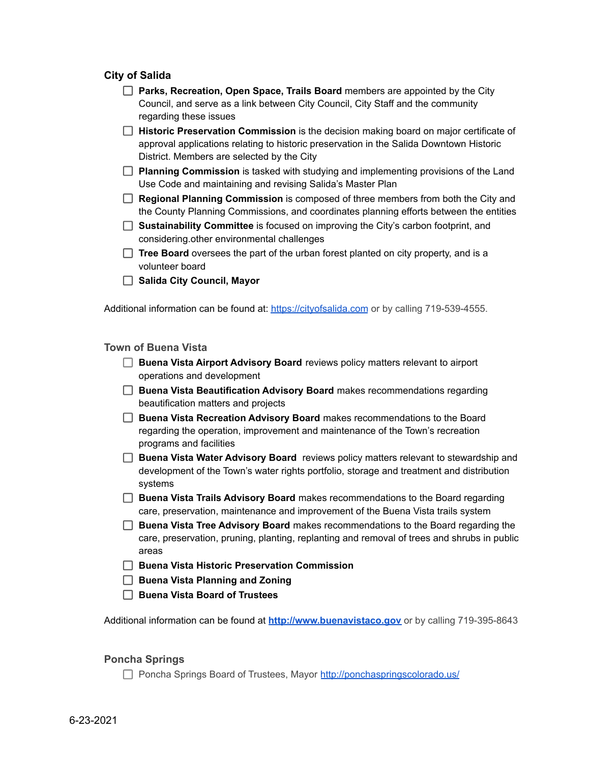#### **City of Salida**

**Parks, Recreation, Open Space, Trails Board** members are appointed by the City Council, and serve as a link between City Council, City Staff and the community regarding these issues

**Historic Preservation Commission** is the decision making board on major certificate of approval applications relating to historic preservation in the Salida Downtown Historic District. Members are selected by the City

**Planning Commission** is tasked with studying and implementing provisions of the Land Use Code and maintaining and revising Salida's Master Plan

- **Regional Planning Commission** is composed of three members from both the City and the County Planning Commissions, and coordinates planning efforts between the entities
- **Sustainability Committee** is focused on improving the City's carbon footprint, and considering.other environmental challenges
- **Tree Board** oversees the part of the urban forest planted on city property, and is a volunteer board
- **Salida City Council, Mayor**

Additional information can be found at: <https://cityofsalida.com> or by calling 719-539-4555.

#### **Town of Buena Vista**

- **Buena Vista Airport Advisory Board** reviews policy matters relevant to airport operations and development
- **Buena Vista Beautification Advisory Board** makes recommendations regarding beautification matters and projects
- **Buena Vista Recreation Advisory Board** makes recommendations to the Board regarding the operation, improvement and maintenance of the Town's recreation programs and facilities
- **Buena Vista Water Advisory Board** reviews policy matters relevant to stewardship and development of the Town's water rights portfolio, storage and treatment and distribution systems
- **Buena Vista Trails Advisory Board** makes recommendations to the Board regarding care, preservation, maintenance and improvement of the Buena Vista trails system
- **Buena Vista Tree Advisory Board** makes recommendations to the Board regarding the care, preservation, pruning, planting, replanting and removal of trees and shrubs in public areas
- **Buena Vista Historic Preservation Commission**
- **Buena Vista Planning and Zoning**
- **Buena Vista Board of Trustees**

Additional information can be found at **<http://www.buenavistaco.gov>** or by calling 719-395-8643

#### **Poncha Springs**

Poncha Springs Board of Trustees, Mayor <http://ponchaspringscolorado.us/>